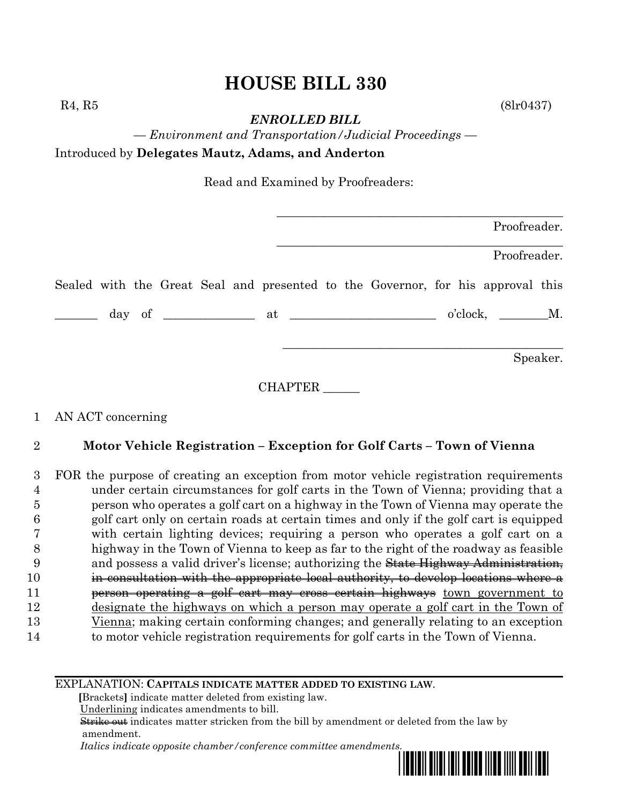# **HOUSE BILL 330**

*ENROLLED BILL*

 $R_4, R_5$  (8lr0437)

*— Environment and Transportation/Judicial Proceedings —* Introduced by **Delegates Mautz, Adams, and Anderton**

Read and Examined by Proofreaders:

|  |  |  |  |                                                                                 |  | Proofreader. |          |
|--|--|--|--|---------------------------------------------------------------------------------|--|--------------|----------|
|  |  |  |  |                                                                                 |  | Proofreader. |          |
|  |  |  |  | Sealed with the Great Seal and presented to the Governor, for his approval this |  |              |          |
|  |  |  |  |                                                                                 |  |              |          |
|  |  |  |  |                                                                                 |  |              | Speaker. |

CHAPTER \_\_\_\_\_\_

### 1 AN ACT concerning

### 2 **Motor Vehicle Registration – Exception for Golf Carts – Town of Vienna**

 FOR the purpose of creating an exception from motor vehicle registration requirements under certain circumstances for golf carts in the Town of Vienna; providing that a person who operates a golf cart on a highway in the Town of Vienna may operate the golf cart only on certain roads at certain times and only if the golf cart is equipped with certain lighting devices; requiring a person who operates a golf cart on a highway in the Town of Vienna to keep as far to the right of the roadway as feasible and possess a valid driver's license; authorizing the State Highway Administration, in consultation with the appropriate local authority, to develop locations where a **person operating a golf cart may cross certain highways** town government to designate the highways on which a person may operate a golf cart in the Town of Vienna; making certain conforming changes; and generally relating to an exception to motor vehicle registration requirements for golf carts in the Town of Vienna.

#### EXPLANATION: **CAPITALS INDICATE MATTER ADDED TO EXISTING LAW**.

 **[**Brackets**]** indicate matter deleted from existing law.

Underlining indicates amendments to bill.

 Strike out indicates matter stricken from the bill by amendment or deleted from the law by amendment.

 *Italics indicate opposite chamber/conference committee amendments.*

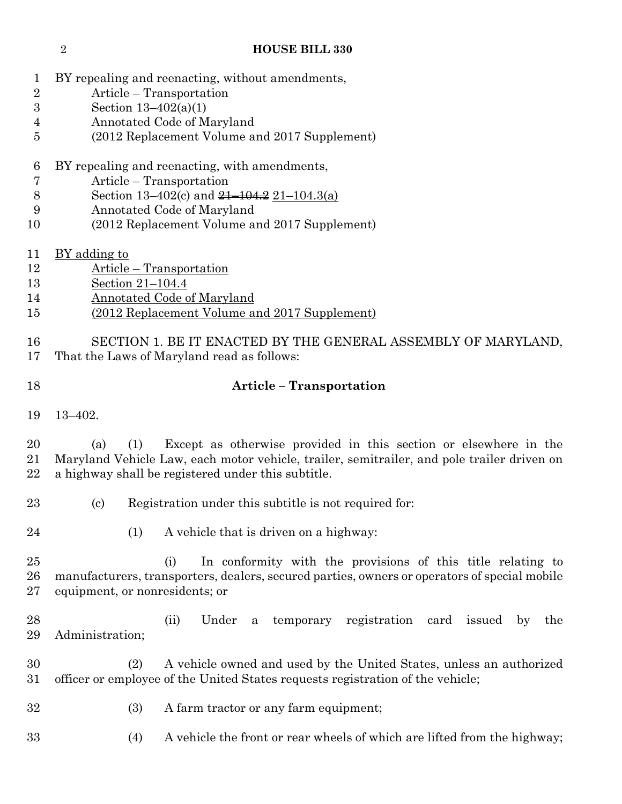#### **HOUSE BILL 330**

- BY repealing and reenacting, without amendments,
- Article Transportation
- Section 13–402(a)(1)
- Annotated Code of Maryland
- (2012 Replacement Volume and 2017 Supplement)
- BY repealing and reenacting, with amendments,
- Article Transportation
- 8 Section 13–402(c) and <del>21–104.2</del> 21–104.3(a)
- Annotated Code of Maryland
- (2012 Replacement Volume and 2017 Supplement)
- BY adding to
- Article Transportation
- Section 21–104.4
- Annotated Code of Maryland
- (2012 Replacement Volume and 2017 Supplement)
- SECTION 1. BE IT ENACTED BY THE GENERAL ASSEMBLY OF MARYLAND, That the Laws of Maryland read as follows:
- 
- **Article – Transportation**
- 13–402.

 (a) (1) Except as otherwise provided in this section or elsewhere in the Maryland Vehicle Law, each motor vehicle, trailer, semitrailer, and pole trailer driven on a highway shall be registered under this subtitle.

- (c) Registration under this subtitle is not required for:
- 
- 24 (1) A vehicle that is driven on a highway:
- (i) In conformity with the provisions of this title relating to manufacturers, transporters, dealers, secured parties, owners or operators of special mobile equipment, or nonresidents; or
- (ii) Under a temporary registration card issued by the Administration;
- (2) A vehicle owned and used by the United States, unless an authorized officer or employee of the United States requests registration of the vehicle;
- (3) A farm tractor or any farm equipment;
- (4) A vehicle the front or rear wheels of which are lifted from the highway;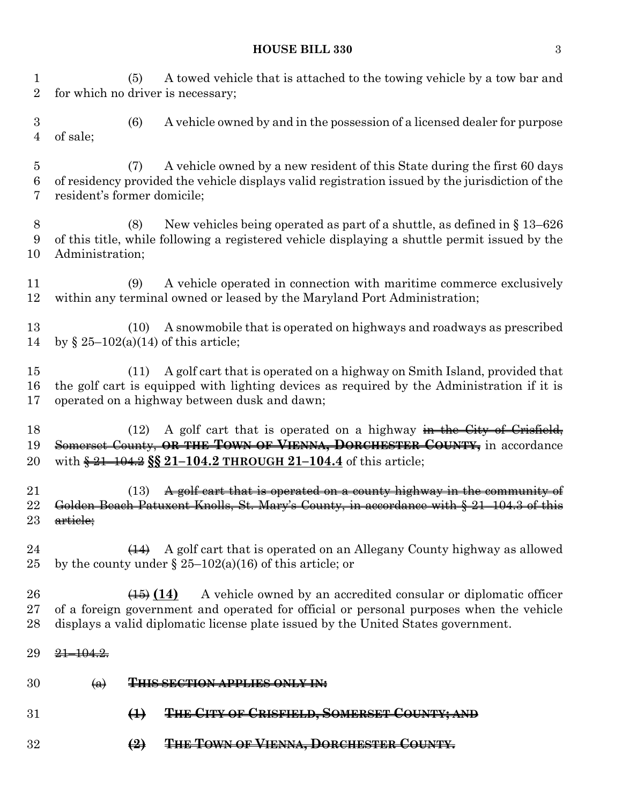#### **HOUSE BILL 330** 3

 (5) A towed vehicle that is attached to the towing vehicle by a tow bar and for which no driver is necessary; (6) A vehicle owned by and in the possession of a licensed dealer for purpose of sale; (7) A vehicle owned by a new resident of this State during the first 60 days of residency provided the vehicle displays valid registration issued by the jurisdiction of the resident's former domicile; (8) New vehicles being operated as part of a shuttle, as defined in § 13–626 of this title, while following a registered vehicle displaying a shuttle permit issued by the Administration; (9) A vehicle operated in connection with maritime commerce exclusively within any terminal owned or leased by the Maryland Port Administration; (10) A snowmobile that is operated on highways and roadways as prescribed by § 25–102(a)(14) of this article; (11) A golf cart that is operated on a highway on Smith Island, provided that the golf cart is equipped with lighting devices as required by the Administration if it is operated on a highway between dusk and dawn; 18 (12) A golf cart that is operated on a highway in the City of Crisfield, Somerset County, **OR THE TOWN OF VIENNA, DORCHESTER COUNTY,** in accordance with § 21–104.2 **§§ 21–104.2 THROUGH 21–104.4** of this article; 21 (13) A golf cart that is operated on a county highway in the community of Golden Beach Patuxent Knolls, St. Mary's County, in accordance with § 21–104.3 of this 23 <del>article;</del>  $\left(14\right)$  A golf cart that is operated on an Allegany County highway as allowed 25 by the county under  $\S 25-102(a)(16)$  of this article; or **(15) (14)** A vehicle owned by an accredited consular or diplomatic officer of a foreign government and operated for official or personal purposes when the vehicle displays a valid diplomatic license plate issued by the United States government. 29 <del>21 104.2.</del> (a) **THIS SECTION APPLIES ONLY IN: (1) THE CITY OF CRISFIELD, SOMERSET COUNTY; AND (2) THE TOWN OF VIENNA, DORCHESTER COUNTY.**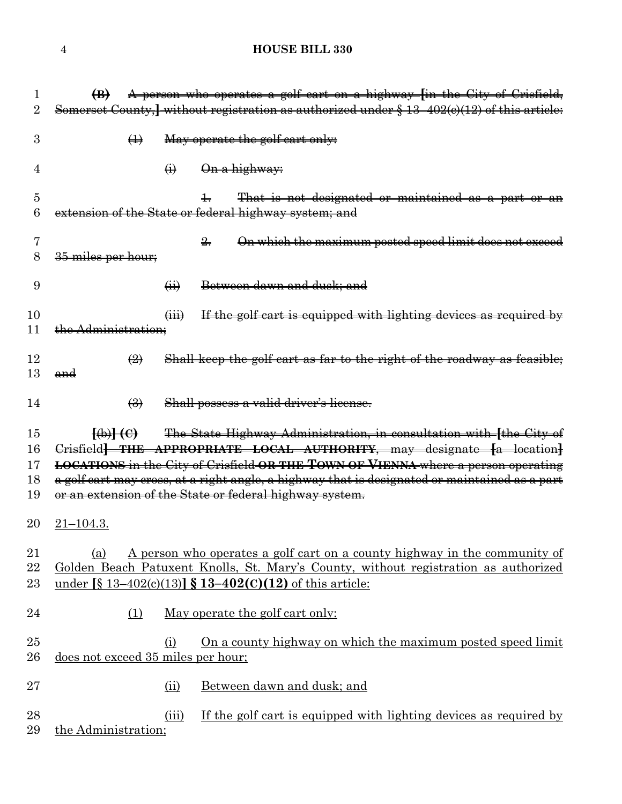## **HOUSE BILL 330**

|                            | A person who operates a golf cart on a highway [in the City of Crisfield,<br>$\bigoplus$                                                                                                                                                                                                                                                                                                                                  |
|----------------------------|---------------------------------------------------------------------------------------------------------------------------------------------------------------------------------------------------------------------------------------------------------------------------------------------------------------------------------------------------------------------------------------------------------------------------|
| 2                          | Somerset County, without registration as authorized under § 13-402(e)(12) of this article:                                                                                                                                                                                                                                                                                                                                |
| 3                          | May operate the golf cart only:<br>$\bigoplus$                                                                                                                                                                                                                                                                                                                                                                            |
| 4                          | On a highway:<br>$\bigoplus$                                                                                                                                                                                                                                                                                                                                                                                              |
| 5<br>6                     | That is not designated or maintained as a part or an<br>extension of the State or federal highway system; and                                                                                                                                                                                                                                                                                                             |
| 8                          | On which the maximum posted speed limit does not exceed<br>$\frac{2}{2}$<br><del>35 miles per hour;</del>                                                                                                                                                                                                                                                                                                                 |
| 9                          | Between dawn and dusk; and<br>$\overline{a}$                                                                                                                                                                                                                                                                                                                                                                              |
| 10<br>11                   | If the golf cart is equipped with lighting devices as required by<br>$\overline{(\mathbf{iii})}$<br>Administration;                                                                                                                                                                                                                                                                                                       |
| 12<br>13                   | Shall keep the golf cart as far to the right of the roadway as feasible;<br>$\bigoplus$<br>and                                                                                                                                                                                                                                                                                                                            |
| 14                         | Shall possess a valid driver's license.<br>$\left(\frac{3}{2}\right)$                                                                                                                                                                                                                                                                                                                                                     |
| 15<br>16<br>17<br>18<br>19 | The State Highway Administration, in consultation with [the City of<br>$\Theta$ $\Theta$<br>Crisfield THE APPROPRIATE LOCAL AUTHORITY, may designate [a location]<br><b>LOCATIONS</b> in the City of Crisfield OR THE TOWN OF VIENNA where a person operating<br>a golf cart may cross, at a right angle, a highway that is designated or maintained as a part<br>or an extension of the State or federal highway system. |
| 20                         | $21 - 104.3.$                                                                                                                                                                                                                                                                                                                                                                                                             |
| 21<br>22<br>23             | A person who operates a golf cart on a county highway in the community of<br>(a)<br>Golden Beach Patuxent Knolls, St. Mary's County, without registration as authorized<br><u>under [§ 13–402(c)(13)] § 13–402(c)(12) of this article:</u>                                                                                                                                                                                |
| 24                         | May operate the golf cart only:<br>(1)                                                                                                                                                                                                                                                                                                                                                                                    |
| 25<br>26                   | On a county highway on which the maximum posted speed limit<br>(i)<br>does not exceed 35 miles per hour;                                                                                                                                                                                                                                                                                                                  |
| $27\,$                     | Between dawn and dusk; and<br>(ii)                                                                                                                                                                                                                                                                                                                                                                                        |
| 28<br>29                   | If the golf cart is equipped with lighting devices as required by<br>(iii)<br>the Administration;                                                                                                                                                                                                                                                                                                                         |